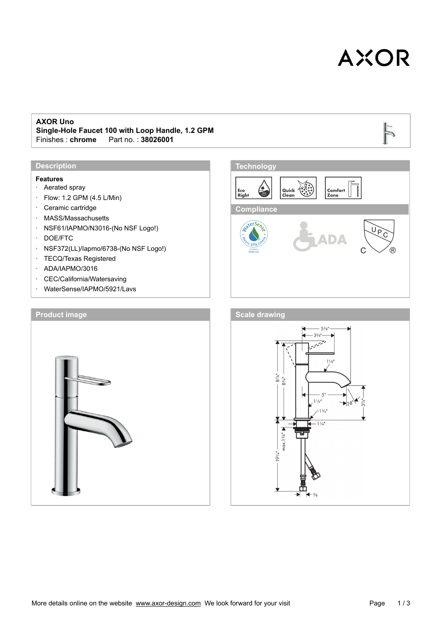# **AXOR**

 $\overline{D}$ 

#### **AXOR Uno**

**Single-Hole Faucet 100 with Loop Handle, 1.2 GPM** Fart no. : 38026001

#### **Description**

#### **Features**

- · Aerated spray
- · Flow: 1.2 GPM (4.5 L/Min)
- · Ceramic cartridge
- · MASS/Massachusetts
- · NSF61/IAPMO/N3016-(No NSF Logo!)
- · DOE/FTC
- · NSF372(LL)/Iapmo/6738-(No NSF Logo!)
- · TECQ/Texas Registered
- · ADA/IAPMO/3016
- · CEC/California/Watersaving
- · WaterSense/IAPMO/5921/Lavs





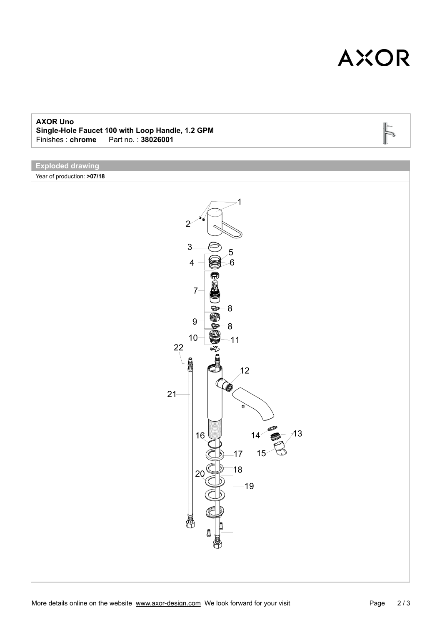## **AXOR**

 $\overline{D}$ 

#### **AXOR Uno**

**Single-Hole Faucet 100 with Loop Handle, 1.2 GPM** Fart no. : 38026001

## **Exploded drawing**

Year of production: **>07/18**